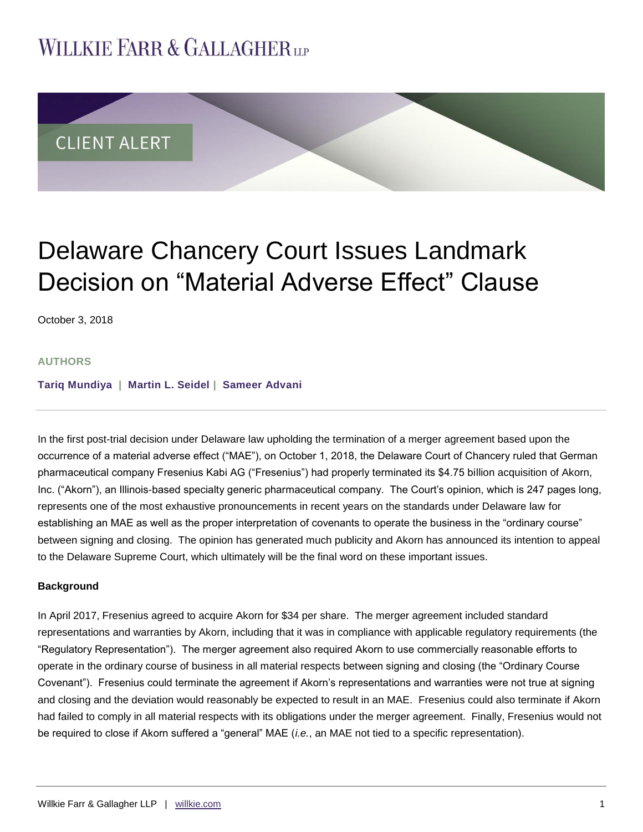## **WILLKIE FARR & GALLAGHERUP**



# Delaware Chancery Court Issues Landmark Decision on "Material Adverse Effect" Clause

October 3, 2018

#### **AUTHORS**

**[Tariq Mundiya](https://www.willkie.com/professionals/m/mundiya-tariq) | [Martin L. Seidel](https://www.willkie.com/professionals/s/seidel-martin) | [Sameer Advani](https://www.willkie.com/professionals/a/advani-sameer)**

In the first post-trial decision under Delaware law upholding the termination of a merger agreement based upon the occurrence of a material adverse effect ("MAE"), on October 1, 2018, the Delaware Court of Chancery ruled that German pharmaceutical company Fresenius Kabi AG ("Fresenius") had properly terminated its \$4.75 billion acquisition of Akorn, Inc. ("Akorn"), an Illinois-based specialty generic pharmaceutical company. The Court's opinion, which is 247 pages long, represents one of the most exhaustive pronouncements in recent years on the standards under Delaware law for establishing an MAE as well as the proper interpretation of covenants to operate the business in the "ordinary course" between signing and closing. The opinion has generated much publicity and Akorn has announced its intention to appeal to the Delaware Supreme Court, which ultimately will be the final word on these important issues.

#### **Background**

In April 2017, Fresenius agreed to acquire Akorn for \$34 per share. The merger agreement included standard representations and warranties by Akorn, including that it was in compliance with applicable regulatory requirements (the "Regulatory Representation"). The merger agreement also required Akorn to use commercially reasonable efforts to operate in the ordinary course of business in all material respects between signing and closing (the "Ordinary Course Covenant"). Fresenius could terminate the agreement if Akorn's representations and warranties were not true at signing and closing and the deviation would reasonably be expected to result in an MAE. Fresenius could also terminate if Akorn had failed to comply in all material respects with its obligations under the merger agreement. Finally, Fresenius would not be required to close if Akorn suffered a "general" MAE (*i.e.*, an MAE not tied to a specific representation).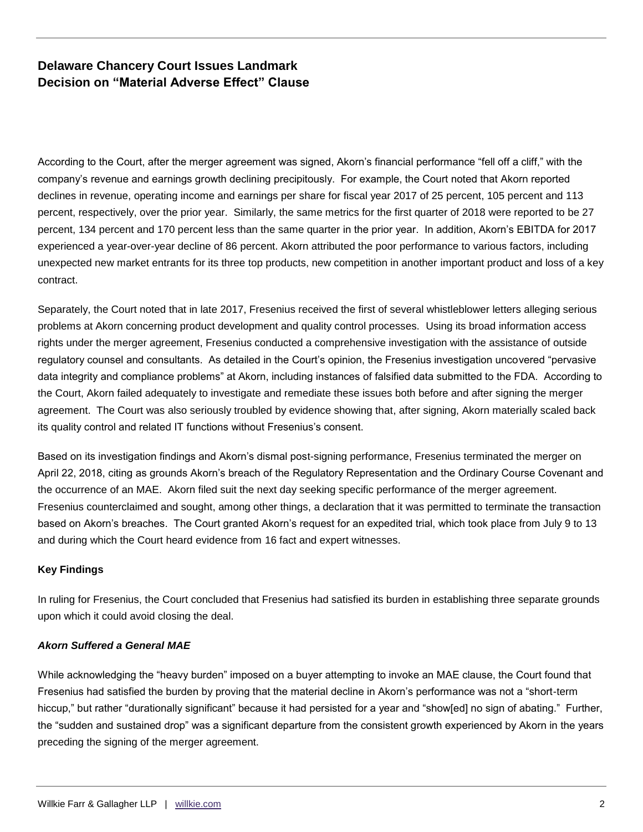According to the Court, after the merger agreement was signed, Akorn's financial performance "fell off a cliff," with the company's revenue and earnings growth declining precipitously. For example, the Court noted that Akorn reported declines in revenue, operating income and earnings per share for fiscal year 2017 of 25 percent, 105 percent and 113 percent, respectively, over the prior year. Similarly, the same metrics for the first quarter of 2018 were reported to be 27 percent, 134 percent and 170 percent less than the same quarter in the prior year. In addition, Akorn's EBITDA for 2017 experienced a year-over-year decline of 86 percent. Akorn attributed the poor performance to various factors, including unexpected new market entrants for its three top products, new competition in another important product and loss of a key contract.

Separately, the Court noted that in late 2017, Fresenius received the first of several whistleblower letters alleging serious problems at Akorn concerning product development and quality control processes. Using its broad information access rights under the merger agreement, Fresenius conducted a comprehensive investigation with the assistance of outside regulatory counsel and consultants. As detailed in the Court's opinion, the Fresenius investigation uncovered "pervasive data integrity and compliance problems" at Akorn, including instances of falsified data submitted to the FDA. According to the Court, Akorn failed adequately to investigate and remediate these issues both before and after signing the merger agreement. The Court was also seriously troubled by evidence showing that, after signing, Akorn materially scaled back its quality control and related IT functions without Fresenius's consent.

Based on its investigation findings and Akorn's dismal post-signing performance, Fresenius terminated the merger on April 22, 2018, citing as grounds Akorn's breach of the Regulatory Representation and the Ordinary Course Covenant and the occurrence of an MAE. Akorn filed suit the next day seeking specific performance of the merger agreement. Fresenius counterclaimed and sought, among other things, a declaration that it was permitted to terminate the transaction based on Akorn's breaches. The Court granted Akorn's request for an expedited trial, which took place from July 9 to 13 and during which the Court heard evidence from 16 fact and expert witnesses.

### **Key Findings**

In ruling for Fresenius, the Court concluded that Fresenius had satisfied its burden in establishing three separate grounds upon which it could avoid closing the deal.

### *Akorn Suffered a General MAE*

While acknowledging the "heavy burden" imposed on a buyer attempting to invoke an MAE clause, the Court found that Fresenius had satisfied the burden by proving that the material decline in Akorn's performance was not a "short-term hiccup," but rather "durationally significant" because it had persisted for a year and "show[ed] no sign of abating." Further, the "sudden and sustained drop" was a significant departure from the consistent growth experienced by Akorn in the years preceding the signing of the merger agreement.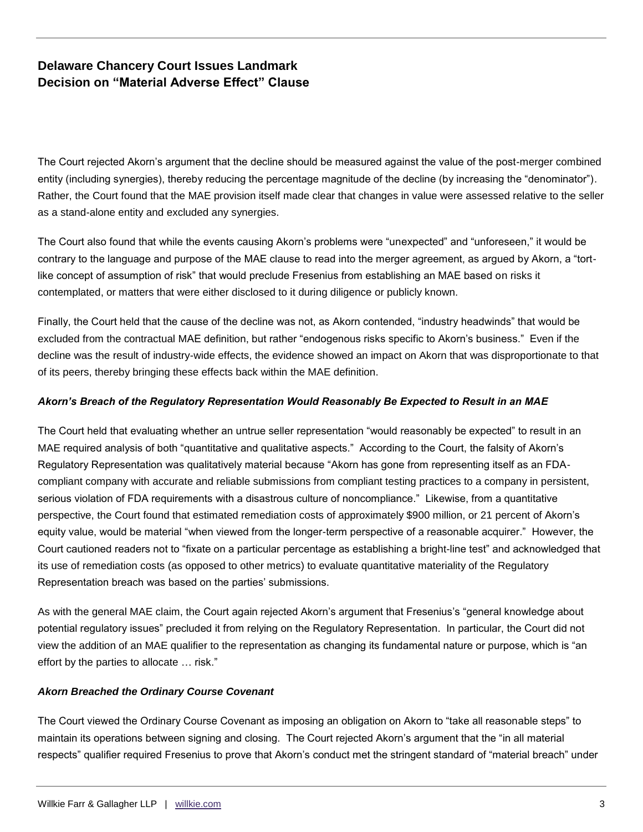The Court rejected Akorn's argument that the decline should be measured against the value of the post-merger combined entity (including synergies), thereby reducing the percentage magnitude of the decline (by increasing the "denominator"). Rather, the Court found that the MAE provision itself made clear that changes in value were assessed relative to the seller as a stand-alone entity and excluded any synergies.

The Court also found that while the events causing Akorn's problems were "unexpected" and "unforeseen," it would be contrary to the language and purpose of the MAE clause to read into the merger agreement, as argued by Akorn, a "tortlike concept of assumption of risk" that would preclude Fresenius from establishing an MAE based on risks it contemplated, or matters that were either disclosed to it during diligence or publicly known.

Finally, the Court held that the cause of the decline was not, as Akorn contended, "industry headwinds" that would be excluded from the contractual MAE definition, but rather "endogenous risks specific to Akorn's business." Even if the decline was the result of industry-wide effects, the evidence showed an impact on Akorn that was disproportionate to that of its peers, thereby bringing these effects back within the MAE definition.

## *Akorn's Breach of the Regulatory Representation Would Reasonably Be Expected to Result in an MAE*

The Court held that evaluating whether an untrue seller representation "would reasonably be expected" to result in an MAE required analysis of both "quantitative and qualitative aspects." According to the Court, the falsity of Akorn's Regulatory Representation was qualitatively material because "Akorn has gone from representing itself as an FDAcompliant company with accurate and reliable submissions from compliant testing practices to a company in persistent, serious violation of FDA requirements with a disastrous culture of noncompliance." Likewise, from a quantitative perspective, the Court found that estimated remediation costs of approximately \$900 million, or 21 percent of Akorn's equity value, would be material "when viewed from the longer-term perspective of a reasonable acquirer." However, the Court cautioned readers not to "fixate on a particular percentage as establishing a bright-line test" and acknowledged that its use of remediation costs (as opposed to other metrics) to evaluate quantitative materiality of the Regulatory Representation breach was based on the parties' submissions.

As with the general MAE claim, the Court again rejected Akorn's argument that Fresenius's "general knowledge about potential regulatory issues" precluded it from relying on the Regulatory Representation. In particular, the Court did not view the addition of an MAE qualifier to the representation as changing its fundamental nature or purpose, which is "an effort by the parties to allocate … risk."

### *Akorn Breached the Ordinary Course Covenant*

The Court viewed the Ordinary Course Covenant as imposing an obligation on Akorn to "take all reasonable steps" to maintain its operations between signing and closing. The Court rejected Akorn's argument that the "in all material respects" qualifier required Fresenius to prove that Akorn's conduct met the stringent standard of "material breach" under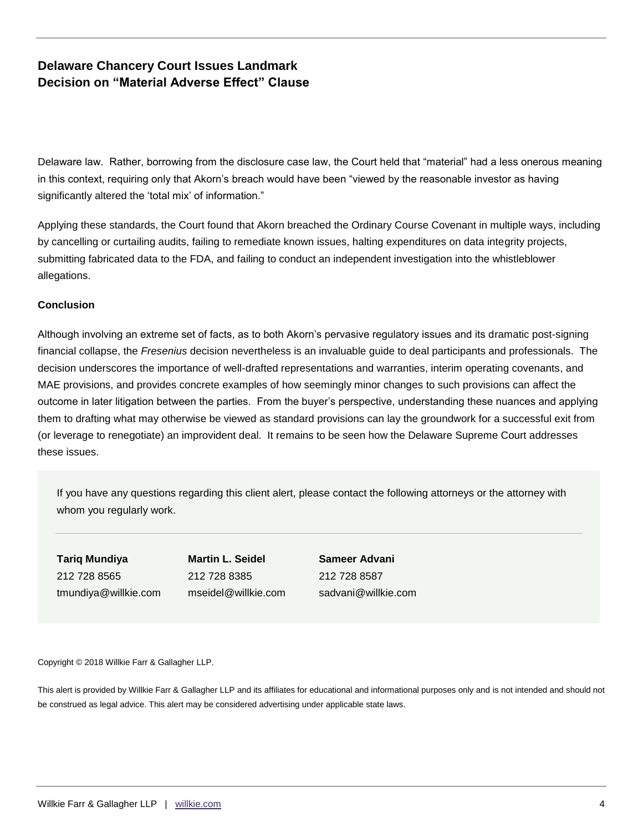Delaware law. Rather, borrowing from the disclosure case law, the Court held that "material" had a less onerous meaning in this context, requiring only that Akorn's breach would have been "viewed by the reasonable investor as having significantly altered the 'total mix' of information."

Applying these standards, the Court found that Akorn breached the Ordinary Course Covenant in multiple ways, including by cancelling or curtailing audits, failing to remediate known issues, halting expenditures on data integrity projects, submitting fabricated data to the FDA, and failing to conduct an independent investigation into the whistleblower allegations.

#### **Conclusion**

Although involving an extreme set of facts, as to both Akorn's pervasive regulatory issues and its dramatic post-signing financial collapse, the *Fresenius* decision nevertheless is an invaluable guide to deal participants and professionals. The decision underscores the importance of well-drafted representations and warranties, interim operating covenants, and MAE provisions, and provides concrete examples of how seemingly minor changes to such provisions can affect the outcome in later litigation between the parties. From the buyer's perspective, understanding these nuances and applying them to drafting what may otherwise be viewed as standard provisions can lay the groundwork for a successful exit from (or leverage to renegotiate) an improvident deal. It remains to be seen how the Delaware Supreme Court addresses these issues.

If you have any questions regarding this client alert, please contact the following attorneys or the attorney with whom you regularly work.

**Tariq Mundiya** 212 728 8565 tmundiya@willkie.com

**Martin L. Seidel** 212 728 8385 mseidel@willkie.com **Sameer Advani** 212 728 8587 sadvani@willkie.com

Copyright © 2018 Willkie Farr & Gallagher LLP.

This alert is provided by Willkie Farr & Gallagher LLP and its affiliates for educational and informational purposes only and is not intended and should not be construed as legal advice. This alert may be considered advertising under applicable state laws.